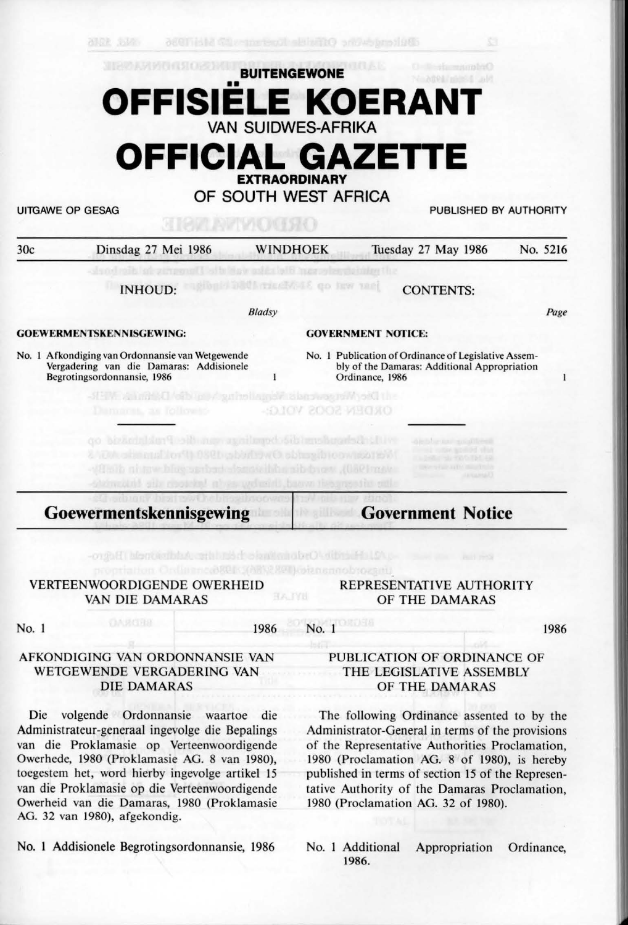## **BUITENGEWONE**  •• **OFFISIELE KOERANT VAN SUIDWES-AFRIKA OFFICIAL GAZETTE**

**EXTRAORDINARY** 

**OF SOUTH WEST AFRICA** 

allak .talen

UITGAWE OP GESAG PUBLISHED BY AUTHORITY

| 30c   | Dinsdag 27 Mei 1986                                                                                                         | <b>WINDHOEK</b> |                             |                           | Tuesday 27 May 1986                                                                                  |             | No. 5216 |
|-------|-----------------------------------------------------------------------------------------------------------------------------|-----------------|-----------------------------|---------------------------|------------------------------------------------------------------------------------------------------|-------------|----------|
|       | <b>INHOUD:</b>                                                                                                              |                 |                             | TESTATE ON NEW YORK       | <b>CONTENTS:</b>                                                                                     |             |          |
|       |                                                                                                                             | Bladsy          |                             |                           |                                                                                                      |             | Page     |
|       | <b>GOEWERMENTSKENNISGEWING:</b>                                                                                             |                 |                             | <b>GOVERNMENT NOTICE:</b> |                                                                                                      |             |          |
|       | No. 1 Afkondiging van Ordonnansie van Wetgewende<br>Vergadering van die Damaras: Addisionele<br>Begrotingsordonnansie, 1986 |                 |                             | Ordinance, 1986           | No. 1 Publication of Ordinance of Legislative Assem-<br>bly of the Damaras: Additional Appropriation |             | 1        |
|       | -HEW Alumbed of bugs / guineliance abarounce with old the                                                                   |                 |                             |                           |                                                                                                      |             |          |
|       | Dummet, as followid-                                                                                                        |                 |                             | <b>ORDEN SOOS VOLGS</b>   |                                                                                                      |             |          |
|       | SHE NOOSTEL<br>Goewermentskennisgewing                                                                                      |                 |                             | insationil.               | <b>Government Notice</b>                                                                             | LESSEN AREA |          |
|       |                                                                                                                             |                 |                             |                           |                                                                                                      |             |          |
|       |                                                                                                                             |                 | <b>PERMIT FROM PROPERTY</b> |                           |                                                                                                      | PER PROJE   |          |
|       | <b>VERTEENWOORDIGENDE OWERHEID</b><br>VAN DIE DAMARAS                                                                       | <b>BATYN</b>    |                             | kotanannobtoakitti        | REPRESENTATIVE AUTHORITY<br>OF THE DAMARAS                                                           |             |          |
| No. 1 | <b>MERCHY</b>                                                                                                               | 1986            | No. 1                       | <b>OBSTER</b>             |                                                                                                      |             | 1986     |

Die volgende Ordonnansie waartoe die Administrateur-generaaJ ingevolge die Bepalings van die Proklamasie op Verteenwoordigende Owerhede, 1980 (Proklamasie AG. 8 van 1980), toegestem het, word hierby ingevolge artikel 15 van die Proklamasie op die Verteenwoordigende Owerheid van die Damaras, 1980 (Proklamasie AG. 32 van 1980), afgekondig.

No. 1 Addisionele Begrotingsordonnansie, 1986

The following Ordinance assented to by the Administrator-General in terms of the provisions of the Representative Authorities Proclamation, 1980 (Proclamation AG. 8 of 1980), is hereby published in terms of section 15 of the Representative Authority of the Damaras Proclamation, 1980 (Proclamation AG. 32 of 1980).

No. 1 Additional Appropriation Ordinance, **1986.**